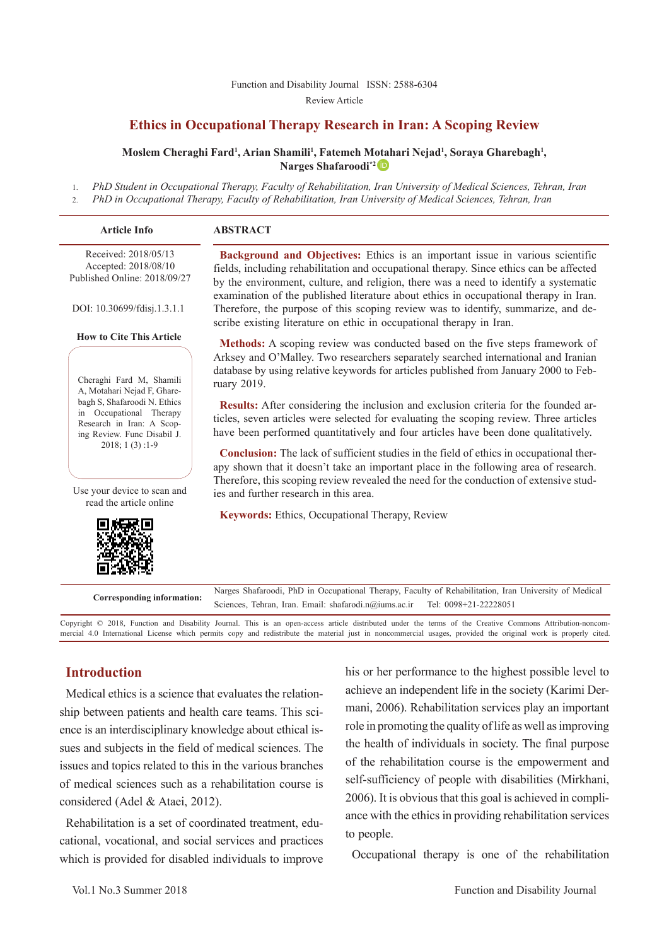#### [Function and Disability Journal ISSN: 2588-6304](http://fdj.iums.ac.ir/index.php?&slct_pg_id=10&sid=1&slc_lang=en)  Review Article

## **Ethics in Occupational Therapy Research in Iran: A Scoping Review**

#### **Moslem Cheraghi Fard1 , Arian Shamili1 , Fatemeh M[otah](http://orcid.org/0000-0003-0346-564x)ari Nejad1 , Soraya Gharebagh1 , Narges Shafaroodi\*2**

1. *PhD Student in Occupational Therapy, Faculty of Rehabilitation, Iran University of Medical Sciences, Tehran, Iran*

2. *PhD in Occupational Therapy, Faculty of Rehabilitation, Iran University of Medical Sciences, Tehran, Iran*

| <b>Article Info</b>                                                                                                                        | <b>ABSTRACT</b>                                                                                                                                                                                                                                                                                                                                                  |
|--------------------------------------------------------------------------------------------------------------------------------------------|------------------------------------------------------------------------------------------------------------------------------------------------------------------------------------------------------------------------------------------------------------------------------------------------------------------------------------------------------------------|
| Received: 2018/05/13<br>Accepted: 2018/08/10<br>Published Online: 2018/09/27                                                               | <b>Background and Objectives:</b> Ethics is an important issue in various scientific<br>fields, including rehabilitation and occupational therapy. Since ethics can be affected<br>by the environment, culture, and religion, there was a need to identify a systematic<br>examination of the published literature about ethics in occupational therapy in Iran. |
| DOI: 10.30699/fdisj.1.3.1.1                                                                                                                | Therefore, the purpose of this scoping review was to identify, summarize, and de-<br>scribe existing literature on ethic in occupational therapy in Iran.                                                                                                                                                                                                        |
| <b>How to Cite This Article</b><br>Cheraghi Fard M, Shamili<br>A, Motahari Nejad F, Ghare-                                                 | Methods: A scoping review was conducted based on the five steps framework of<br>Arksey and O'Malley. Two researchers separately searched international and Iranian<br>database by using relative keywords for articles published from January 2000 to Feb-<br>ruary 2019.                                                                                        |
| bagh S, Shafaroodi N. Ethics<br>in Occupational Therapy<br>Research in Iran: A Scop-<br>ing Review. Func Disabil J.<br>$2018$ ; 1 (3) :1-9 | <b>Results:</b> After considering the inclusion and exclusion criteria for the founded ar-<br>ticles, seven articles were selected for evaluating the scoping review. Three articles<br>have been performed quantitatively and four articles have been done qualitatively.                                                                                       |
|                                                                                                                                            |                                                                                                                                                                                                                                                                                                                                                                  |

**Conclusion:** The lack of sufficient studies in the field of ethics in occupational therapy shown that it doesn't take an important place in the following area of research. Therefore, this scoping review revealed the need for the conduction of extensive studies and further research in this area.

**Keywords:** Ethics, Occupational Therapy, Review

**Corresponding information:** Narges Shafaroodi, PhD in Occupational Therapy, Faculty of Rehabilitation, Iran University of Medical Sciences, Tehran, Iran, Email: shafarodi.n@iums.ac.ir Tel: 0098+21-22228051 Sciences, Tehran, Iran. Email: shafarodi.n@iums.ac.ir

Copyright © 2018, Function and Disability Journal. This is an open-access article distributed under the terms of the Creative Commons Attribution-noncommercial 4.0 International License which permits copy and redistribute the material just in noncommercial usages, provided the original work is properly cited.

## **Introduction**

Use your device to scan and read the article online

Medical ethics is a science that evaluates the relationship between patients and health care teams. This science is an interdisciplinary knowledge about ethical issues and subjects in the field of medical sciences. The issues and topics related to this in the various branches of medical sciences such as a rehabilitation course is considered (Adel & Ataei, 2012).

Rehabilitation is a set of coordinated treatment, educational, vocational, and social services and practices which is provided for disabled individuals to improve his or her performance to the highest possible level to achieve an independent life in the society (Karimi Dermani, 2006). Rehabilitation services play an important role in promoting the quality of life as well as improving the health of individuals in society. The final purpose of the rehabilitation course is the empowerment and self-sufficiency of people with disabilities (Mirkhani, 2006). It is obvious that this goal is achieved in compliance with the ethics in providing rehabilitation services to people.

Occupational therapy is one of the rehabilitation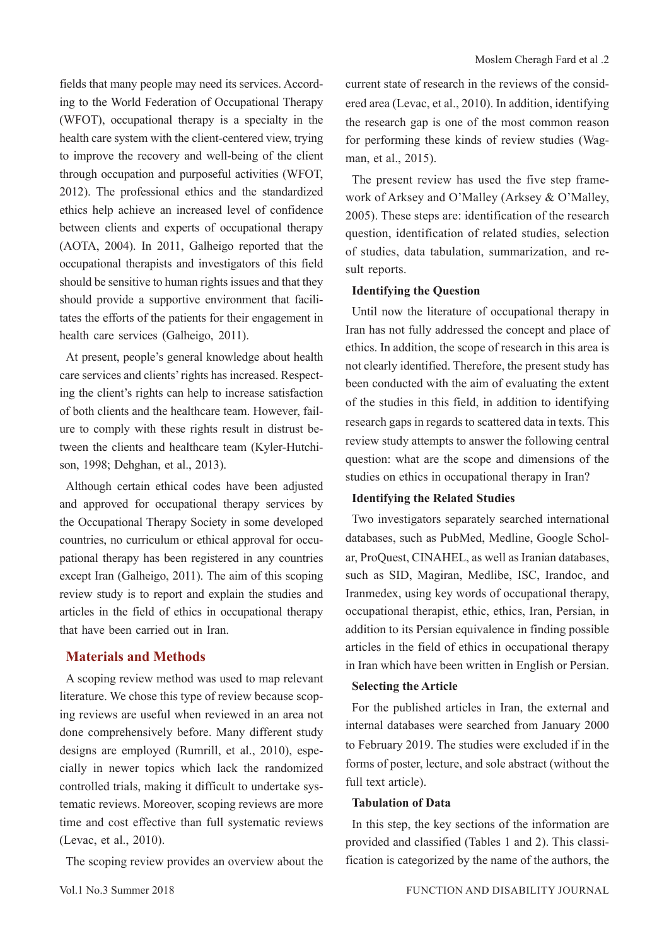fields that many people may need its services. According to the World Federation of Occupational Therapy (WFOT), occupational therapy is a specialty in the health care system with the client-centered view, trying to improve the recovery and well-being of the client through occupation and purposeful activities (WFOT, 2012). The professional ethics and the standardized ethics help achieve an increased level of confidence between clients and experts of occupational therapy (AOTA, 2004). In 2011, Galheigo reported that the occupational therapists and investigators of this field should be sensitive to human rights issues and that they should provide a supportive environment that facilitates the efforts of the patients for their engagement in health care services (Galheigo, 2011).

At present, people's general knowledge about health care services and clients' rights has increased. Respecting the client's rights can help to increase satisfaction of both clients and the healthcare team. However, failure to comply with these rights result in distrust between the clients and healthcare team (Kyler-Hutchison, 1998; Dehghan, et al., 2013).

Although certain ethical codes have been adjusted and approved for occupational therapy services by the Occupational Therapy Society in some developed countries, no curriculum or ethical approval for occupational therapy has been registered in any countries except Iran (Galheigo, 2011). The aim of this scoping review study is to report and explain the studies and articles in the field of ethics in occupational therapy that have been carried out in Iran.

## **Materials and Methods**

A scoping review method was used to map relevant literature. We chose this type of review because scoping reviews are useful when reviewed in an area not done comprehensively before. Many different study designs are employed (Rumrill, et al., 2010), especially in newer topics which lack the randomized controlled trials, making it difficult to undertake systematic reviews. Moreover, scoping reviews are more time and cost effective than full systematic reviews (Levac, et al., 2010).

The scoping review provides an overview about the

current state of research in the reviews of the considered area (Levac, et al., 2010). In addition, identifying the research gap is one of the most common reason for performing these kinds of review studies (Wagman, et al., 2015).

The present review has used the five step framework of Arksey and O'Malley (Arksey & O'Malley, 2005). These steps are: identification of the research question, identification of related studies, selection of studies, data tabulation, summarization, and result reports.

#### **Identifying the Question**

Until now the literature of occupational therapy in Iran has not fully addressed the concept and place of ethics. In addition, the scope of research in this area is not clearly identified. Therefore, the present study has been conducted with the aim of evaluating the extent of the studies in this field, in addition to identifying research gaps in regards to scattered data in texts. This review study attempts to answer the following central question: what are the scope and dimensions of the studies on ethics in occupational therapy in Iran?

#### **Identifying the Related Studies**

Two investigators separately searched international databases, such as PubMed, Medline, Google Scholar, ProQuest, CINAHEL, as well as Iranian databases, such as SID, Magiran, Medlibe, ISC, Irandoc, and Iranmedex, using key words of occupational therapy, occupational therapist, ethic, ethics, Iran, Persian, in addition to its Persian equivalence in finding possible articles in the field of ethics in occupational therapy in Iran which have been written in English or Persian.

#### **Selecting the Article**

For the published articles in Iran, the external and internal databases were searched from January 2000 to February 2019. The studies were excluded if in the forms of poster, lecture, and sole abstract (without the full text article).

#### **Tabulation of Data**

In this step, the key sections of the information are provided and classified (Tables 1 and 2). This classification is categorized by the name of the authors, the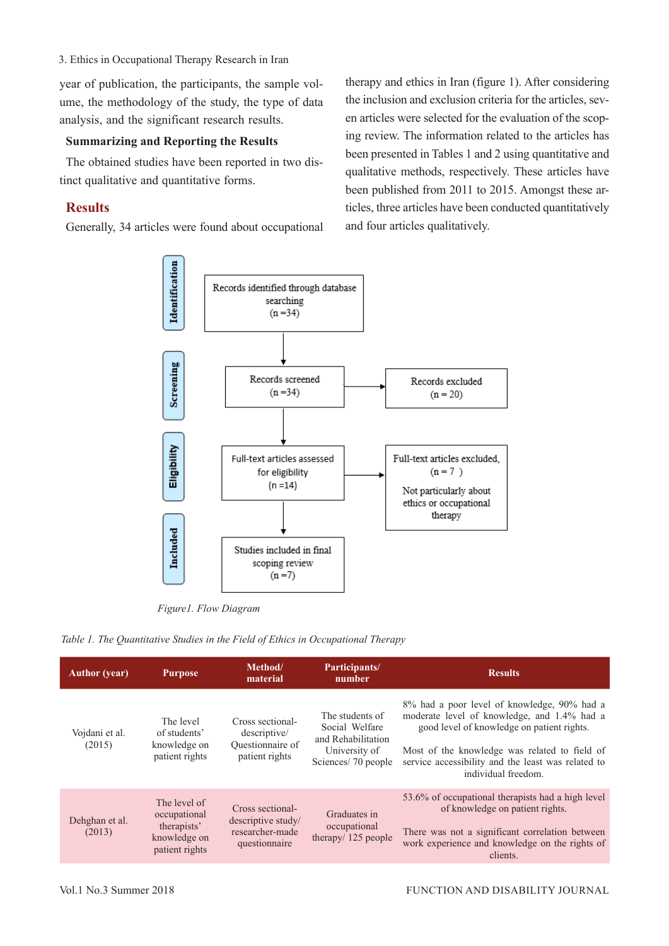3. Ethics in Occupational Therapy Research in Iran

year of publication, the participants, the sample volume, the methodology of the study, the type of data analysis, and the significant research results.

#### **Summarizing and Reporting the Results**

The obtained studies have been reported in two distinct qualitative and quantitative forms.

## **Results**

Generally, 34 articles were found about occupational

therapy and ethics in Iran (figure 1). After considering the inclusion and exclusion criteria for the articles, seven articles were selected for the evaluation of the scoping review. The information related to the articles has been presented in Tables 1 and 2 using quantitative and qualitative methods, respectively. These articles have been published from 2011 to 2015. Amongst these articles, three articles have been conducted quantitatively and four articles qualitatively.



*Figure1. Flow Diagram*

*Table 1. The Quantitative Studies in the Field of Ethics in Occupational Therapy*

|                          |                                                                               | Method/<br>Participants/<br><b>Purpose</b><br>material<br>number           |                                                                                                |                                                                                                                                                                                                                                                                        |
|--------------------------|-------------------------------------------------------------------------------|----------------------------------------------------------------------------|------------------------------------------------------------------------------------------------|------------------------------------------------------------------------------------------------------------------------------------------------------------------------------------------------------------------------------------------------------------------------|
| Vojdani et al.<br>(2015) | The level<br>of students'<br>knowledge on<br>patient rights                   | Cross sectional-<br>descriptive/<br>Questionnaire of<br>patient rights     | The students of<br>Social Welfare<br>and Rehabilitation<br>University of<br>Sciences/70 people | 8% had a poor level of knowledge, 90% had a<br>moderate level of knowledge, and 1.4% had a<br>good level of knowledge on patient rights.<br>Most of the knowledge was related to field of<br>service accessibility and the least was related to<br>individual freedom. |
| Dehghan et al.<br>(2013) | The level of<br>occupational<br>therapists'<br>knowledge on<br>patient rights | Cross sectional-<br>descriptive study/<br>researcher-made<br>questionnaire | Graduates in<br>occupational<br>therapy/ 125 people                                            | 53.6% of occupational therapists had a high level<br>of knowledge on patient rights.<br>There was not a significant correlation between<br>work experience and knowledge on the rights of<br>clients.                                                                  |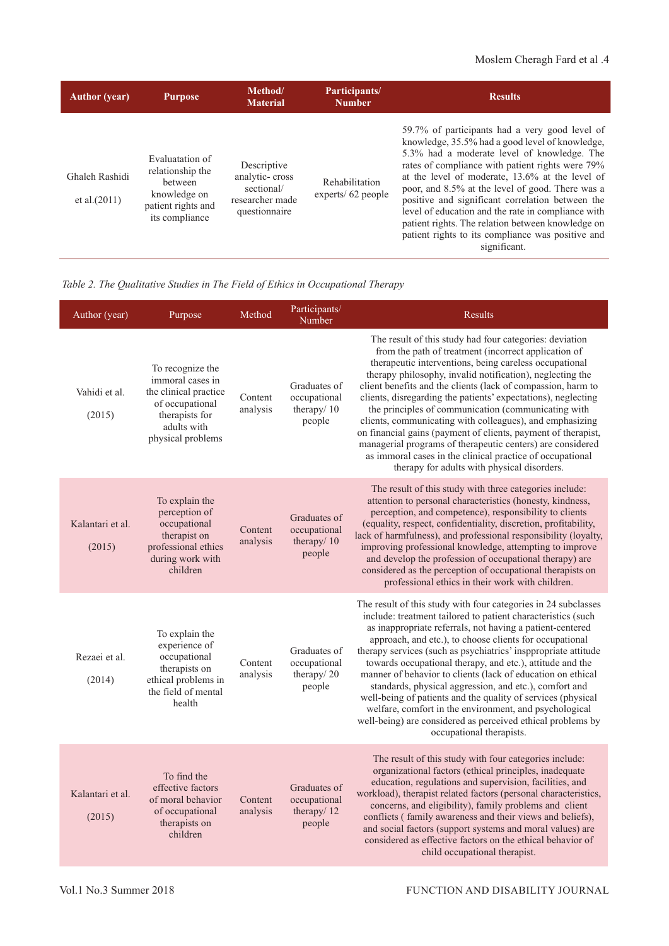| <b>Author</b> (year)              | <b>Purpose</b>                                                                                         | Method/<br><b>Material</b>                                                      | Participants/<br><b>Number</b>      | <b>Results</b>                                                                                                                                                                                                                                                                                                                                                                                                                                                                                                                                  |
|-----------------------------------|--------------------------------------------------------------------------------------------------------|---------------------------------------------------------------------------------|-------------------------------------|-------------------------------------------------------------------------------------------------------------------------------------------------------------------------------------------------------------------------------------------------------------------------------------------------------------------------------------------------------------------------------------------------------------------------------------------------------------------------------------------------------------------------------------------------|
| Ghaleh Rashidi<br>et al. $(2011)$ | Evaluatation of<br>relationship the<br>between<br>knowledge on<br>patient rights and<br>its compliance | Descriptive<br>analytic-cross<br>sectional/<br>researcher made<br>questionnaire | Rehabilitation<br>experts/62 people | 59.7% of participants had a very good level of<br>knowledge, 35.5% had a good level of knowledge,<br>5.3% had a moderate level of knowledge. The<br>rates of compliance with patient rights were 79%<br>at the level of moderate, 13.6% at the level of<br>poor, and 8.5% at the level of good. There was a<br>positive and significant correlation between the<br>level of education and the rate in compliance with<br>patient rights. The relation between knowledge on<br>patient rights to its compliance was positive and<br>significant. |

*Table 2. The Qualitative Studies in The Field of Ethics in Occupational Therapy*

| Author (year)              | Purpose                                                                                                                                | Method              | Participants/<br>Number                              | Results                                                                                                                                                                                                                                                                                                                                                                                                                                                                                                                                                                                                                                                                                                                               |
|----------------------------|----------------------------------------------------------------------------------------------------------------------------------------|---------------------|------------------------------------------------------|---------------------------------------------------------------------------------------------------------------------------------------------------------------------------------------------------------------------------------------------------------------------------------------------------------------------------------------------------------------------------------------------------------------------------------------------------------------------------------------------------------------------------------------------------------------------------------------------------------------------------------------------------------------------------------------------------------------------------------------|
| Vahidi et al.<br>(2015)    | To recognize the<br>immoral cases in<br>the clinical practice<br>of occupational<br>therapists for<br>adults with<br>physical problems | Content<br>analysis | Graduates of<br>occupational<br>therapy/10<br>people | The result of this study had four categories: deviation<br>from the path of treatment (incorrect application of<br>therapeutic interventions, being careless occupational<br>therapy philosophy, invalid notification), neglecting the<br>client benefits and the clients (lack of compassion, harm to<br>clients, disregarding the patients' expectations), neglecting<br>the principles of communication (communicating with<br>clients, communicating with colleagues), and emphasizing<br>on financial gains (payment of clients, payment of therapist,<br>managerial programs of therapeutic centers) are considered<br>as immoral cases in the clinical practice of occupational<br>therapy for adults with physical disorders. |
| Kalantari et al.<br>(2015) | To explain the<br>perception of<br>occupational<br>therapist on<br>professional ethics<br>during work with<br>children                 | Content<br>analysis | Graduates of<br>occupational<br>therapy/10<br>people | The result of this study with three categories include:<br>attention to personal characteristics (honesty, kindness,<br>perception, and competence), responsibility to clients<br>(equality, respect, confidentiality, discretion, profitability,<br>lack of harmfulness), and professional responsibility (loyalty,<br>improving professional knowledge, attempting to improve<br>and develop the profession of occupational therapy) are<br>considered as the perception of occupational therapists on<br>professional ethics in their work with children.                                                                                                                                                                          |
| Rezaei et al.<br>(2014)    | To explain the<br>experience of<br>occupational<br>therapists on<br>ethical problems in<br>the field of mental<br>health               | Content<br>analysis | Graduates of<br>occupational<br>therapy/20<br>people | The result of this study with four categories in 24 subclasses<br>include: treatment tailored to patient characteristics (such<br>as inappropriate referrals, not having a patient-centered<br>approach, and etc.), to choose clients for occupational<br>therapy services (such as psychiatrics' insppropriate attitude<br>towards occupational therapy, and etc.), attitude and the<br>manner of behavior to clients (lack of education on ethical<br>standards, physical aggression, and etc.), comfort and<br>well-being of patients and the quality of services (physical<br>welfare, comfort in the environment, and psychological<br>well-being) are considered as perceived ethical problems by<br>occupational therapists.   |
| Kalantari et al.<br>(2015) | To find the<br>effective factors<br>of moral behavior<br>of occupational<br>therapists on<br>children                                  | Content<br>analysis | Graduates of<br>occupational<br>therapy/12<br>people | The result of this study with four categories include:<br>organizational factors (ethical principles, inadequate<br>education, regulations and supervision, facilities, and<br>workload), therapist related factors (personal characteristics,<br>concerns, and eligibility), family problems and client<br>conflicts (family awareness and their views and beliefs),<br>and social factors (support systems and moral values) are<br>considered as effective factors on the ethical behavior of<br>child occupational therapist.                                                                                                                                                                                                     |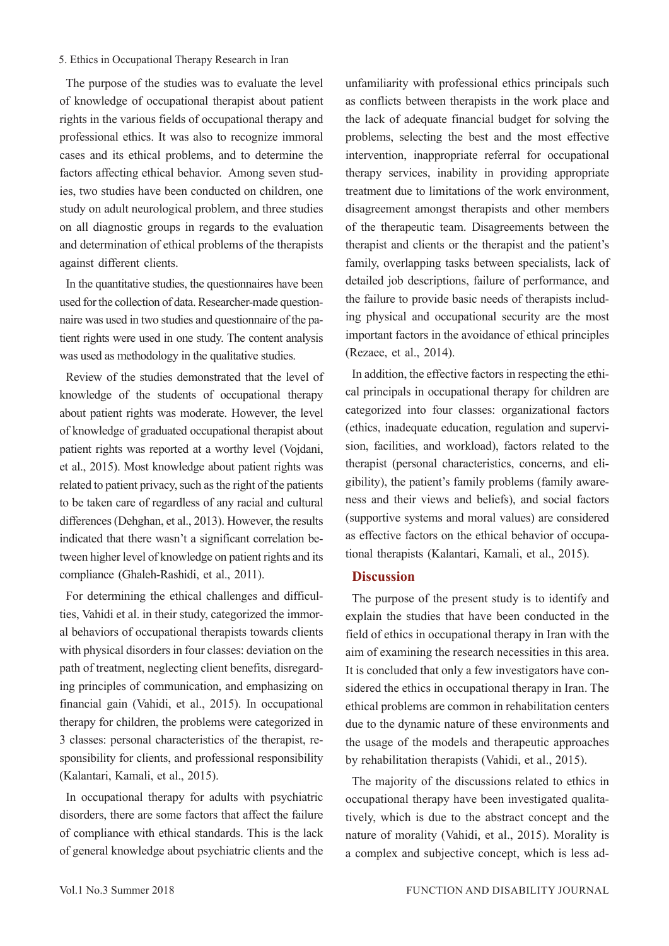#### 5. Ethics in Occupational Therapy Research in Iran

The purpose of the studies was to evaluate the level of knowledge of occupational therapist about patient rights in the various fields of occupational therapy and professional ethics. It was also to recognize immoral cases and its ethical problems, and to determine the factors affecting ethical behavior. Among seven studies, two studies have been conducted on children, one study on adult neurological problem, and three studies on all diagnostic groups in regards to the evaluation and determination of ethical problems of the therapists against different clients.

In the quantitative studies, the questionnaires have been used for the collection of data. Researcher-made questionnaire was used in two studies and questionnaire of the patient rights were used in one study. The content analysis was used as methodology in the qualitative studies.

Review of the studies demonstrated that the level of knowledge of the students of occupational therapy about patient rights was moderate. However, the level of knowledge of graduated occupational therapist about patient rights was reported at a worthy level (Vojdani, et al., 2015). Most knowledge about patient rights was related to patient privacy, such as the right of the patients to be taken care of regardless of any racial and cultural differences (Dehghan, et al., 2013). However, the results indicated that there wasn't a significant correlation between higher level of knowledge on patient rights and its compliance (Ghaleh-Rashidi, et al., 2011).

For determining the ethical challenges and difficulties, Vahidi et al. in their study, categorized the immoral behaviors of occupational therapists towards clients with physical disorders in four classes: deviation on the path of treatment, neglecting client benefits, disregarding principles of communication, and emphasizing on financial gain (Vahidi, et al., 2015). In occupational therapy for children, the problems were categorized in 3 classes: personal characteristics of the therapist, responsibility for clients, and professional responsibility (Kalantari, Kamali, et al., 2015).

In occupational therapy for adults with psychiatric disorders, there are some factors that affect the failure of compliance with ethical standards. This is the lack of general knowledge about psychiatric clients and the

unfamiliarity with professional ethics principals such as conflicts between therapists in the work place and the lack of adequate financial budget for solving the problems, selecting the best and the most effective intervention, inappropriate referral for occupational therapy services, inability in providing appropriate treatment due to limitations of the work environment, disagreement amongst therapists and other members of the therapeutic team. Disagreements between the therapist and clients or the therapist and the patient's family, overlapping tasks between specialists, lack of detailed job descriptions, failure of performance, and the failure to provide basic needs of therapists including physical and occupational security are the most important factors in the avoidance of ethical principles (Rezaee, et al., 2014).

In addition, the effective factors in respecting the ethical principals in occupational therapy for children are categorized into four classes: organizational factors (ethics, inadequate education, regulation and supervision, facilities, and workload), factors related to the therapist (personal characteristics, concerns, and eligibility), the patient's family problems (family awareness and their views and beliefs), and social factors (supportive systems and moral values) are considered as effective factors on the ethical behavior of occupational therapists (Kalantari, Kamali, et al., 2015).

### **Discussion**

The purpose of the present study is to identify and explain the studies that have been conducted in the field of ethics in occupational therapy in Iran with the aim of examining the research necessities in this area. It is concluded that only a few investigators have considered the ethics in occupational therapy in Iran. The ethical problems are common in rehabilitation centers due to the dynamic nature of these environments and the usage of the models and therapeutic approaches by rehabilitation therapists (Vahidi, et al., 2015).

The majority of the discussions related to ethics in occupational therapy have been investigated qualitatively, which is due to the abstract concept and the nature of morality (Vahidi, et al., 2015). Morality is a complex and subjective concept, which is less ad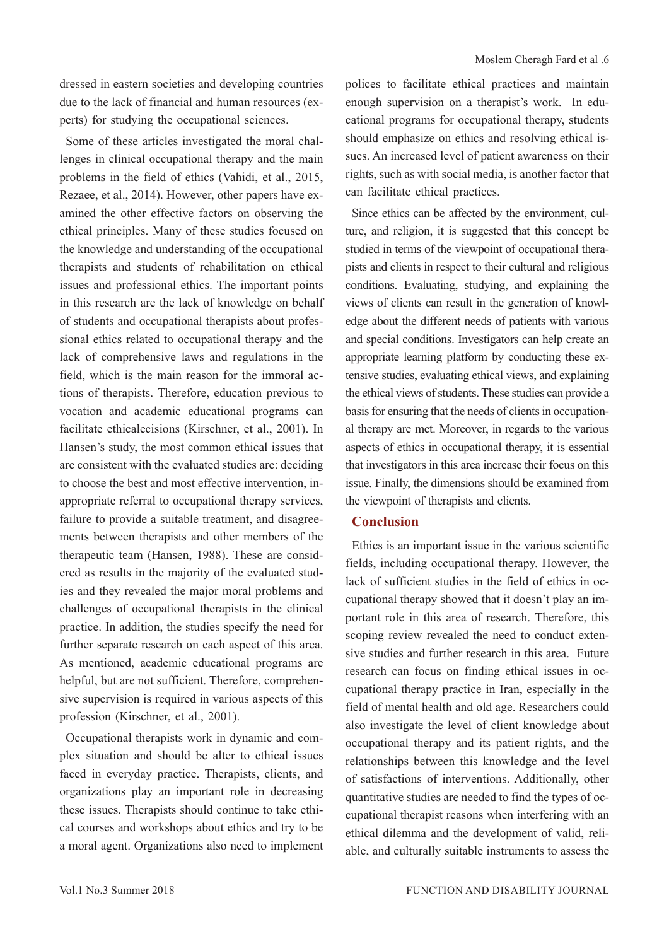dressed in eastern societies and developing countries due to the lack of financial and human resources (experts) for studying the occupational sciences.

Some of these articles investigated the moral challenges in clinical occupational therapy and the main problems in the field of ethics (Vahidi, et al., 2015, Rezaee, et al., 2014). However, other papers have examined the other effective factors on observing the ethical principles. Many of these studies focused on the knowledge and understanding of the occupational therapists and students of rehabilitation on ethical issues and professional ethics. The important points in this research are the lack of knowledge on behalf of students and occupational therapists about professional ethics related to occupational therapy and the lack of comprehensive laws and regulations in the field, which is the main reason for the immoral actions of therapists. Therefore, education previous to vocation and academic educational programs can facilitate ethicalecisions (Kirschner, et al., 2001). In Hansen's study, the most common ethical issues that are consistent with the evaluated studies are: deciding to choose the best and most effective intervention, inappropriate referral to occupational therapy services, failure to provide a suitable treatment, and disagreements between therapists and other members of the therapeutic team (Hansen, 1988). These are considered as results in the majority of the evaluated studies and they revealed the major moral problems and challenges of occupational therapists in the clinical practice. In addition, the studies specify the need for further separate research on each aspect of this area. As mentioned, academic educational programs are helpful, but are not sufficient. Therefore, comprehensive supervision is required in various aspects of this profession (Kirschner, et al., 2001).

Occupational therapists work in dynamic and complex situation and should be alter to ethical issues faced in everyday practice. Therapists, clients, and organizations play an important role in decreasing these issues. Therapists should continue to take ethical courses and workshops about ethics and try to be a moral agent. Organizations also need to implement polices to facilitate ethical practices and maintain enough supervision on a therapist's work. In educational programs for occupational therapy, students should emphasize on ethics and resolving ethical issues. An increased level of patient awareness on their rights, such as with social media, is another factor that can facilitate ethical practices.

Since ethics can be affected by the environment, culture, and religion, it is suggested that this concept be studied in terms of the viewpoint of occupational therapists and clients in respect to their cultural and religious conditions. Evaluating, studying, and explaining the views of clients can result in the generation of knowledge about the different needs of patients with various and special conditions. Investigators can help create an appropriate learning platform by conducting these extensive studies, evaluating ethical views, and explaining the ethical views of students. These studies can provide a basis for ensuring that the needs of clients in occupational therapy are met. Moreover, in regards to the various aspects of ethics in occupational therapy, it is essential that investigators in this area increase their focus on this issue. Finally, the dimensions should be examined from the viewpoint of therapists and clients.

#### **Conclusion**

Ethics is an important issue in the various scientific fields, including occupational therapy. However, the lack of sufficient studies in the field of ethics in occupational therapy showed that it doesn't play an important role in this area of research. Therefore, this scoping review revealed the need to conduct extensive studies and further research in this area. Future research can focus on finding ethical issues in occupational therapy practice in Iran, especially in the field of mental health and old age. Researchers could also investigate the level of client knowledge about occupational therapy and its patient rights, and the relationships between this knowledge and the level of satisfactions of interventions. Additionally, other quantitative studies are needed to find the types of occupational therapist reasons when interfering with an ethical dilemma and the development of valid, reliable, and culturally suitable instruments to assess the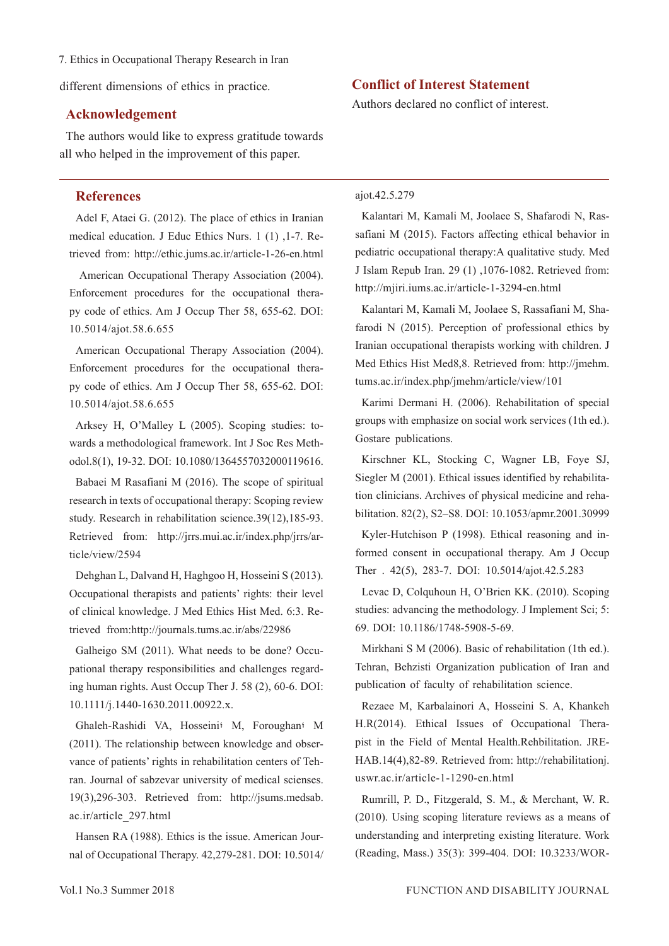7. Ethics in Occupational Therapy Research in Iran

different dimensions of ethics in practice.

#### **Acknowledgement**

The authors would like to express gratitude towards all who helped in the improvement of this paper.

#### **References**

Adel F, Ataei G. (2012). The place of ethics in Iranian medical education. J Educ Ethics Nurs. 1 (1) ,1-7. Retrieved from: http://ethic.jums.ac.ir/article-1-26-en.html

 American Occupational Therapy Association (2004). Enforcement procedures for the occupational therapy code of ethics. Am J Occup Ther 58, 655-62. DOI: 10.5014/ajot.58.6.655

American Occupational Therapy Association (2004). Enforcement procedures for the occupational therapy code of ethics. Am J Occup Ther 58, 655-62. DOI: 10.5014/ajot.58.6.655

Arksey H, O'Malley L (2005). Scoping studies: towards a methodological framework. Int J Soc Res Methodol.8(1), 19-32. DOI: 10.1080/1364557032000119616.

Babaei M Rasafiani M (2016). The scope of spiritual research in texts of occupational therapy: Scoping review study. Research in rehabilitation science.39(12),185-93. Retrieved from: http://jrrs.mui.ac.ir/index.php/jrrs/article/view/2594

Dehghan L, Dalvand H, Haghgoo H, Hosseini S (2013). Occupational therapists and patients' rights: their level of clinical knowledge. J Med Ethics Hist Med. 6:3. Retrieved from:http://journals.tums.ac.ir/abs/22986

Galheigo SM (2011). What needs to be done? Occupational therapy responsibilities and challenges regarding human rights. Aust Occup Ther J. 58 (2), 60-6. DOI: 10.1111/j.1440-1630.2011.00922.x.

Ghaleh-Rashidi VA, Hosseini؛ M, Foroughan؛ M (2011). The relationship between knowledge and observance of patients' rights in rehabilitation centers of Tehran. Journal of sabzevar university of medical scienses. 19(3),296-303. Retrieved from: http://jsums.medsab. ac.ir/article\_297.html

Hansen RA (1988). Ethics is the issue. American Journal of Occupational Therapy. 42,279-281. DOI: 10.5014/

#### **Conflict of Interest Statement**

Authors declared no conflict of interest.

#### ajot.42.5.279

Kalantari M, Kamali M, Joolaee S, Shafarodi N, Rassafiani M (2015). Factors affecting ethical behavior in pediatric occupational therapy:A qualitative study. Med J Islam Repub Iran. 29 (1) ,1076-1082. Retrieved from: http://mjiri.iums.ac.ir/article-1-3294-en.html

Kalantari M, Kamali M, Joolaee S, Rassafiani M, Shafarodi N (2015). Perception of professional ethics by Iranian occupational therapists working with children. J Med Ethics Hist Med8,8. Retrieved from: http://jmehm. tums.ac.ir/index.php/jmehm/article/view/101

Karimi Dermani H. (2006). Rehabilitation of special groups with emphasize on social work services (1th ed.). Gostare publications.

Kirschner KL, Stocking C, Wagner LB, Foye SJ, Siegler M (2001). Ethical issues identified by rehabilitation clinicians. Archives of physical medicine and rehabilitation. 82(2), S2–S8. DOI: 10.1053/apmr.2001.30999

Kyler-Hutchison P (1998). Ethical reasoning and informed consent in occupational therapy. Am J Occup Ther . 42(5), 283-7. DOI: 10.5014/ajot.42.5.283

Levac D, Colquhoun H, O'Brien KK. (2010). Scoping studies: advancing the methodology. J Implement Sci; 5: 69. DOI: 10.1186/1748-5908-5-69.

Mirkhani S M (2006). Basic of rehabilitation (1th ed.). Tehran, Behzisti Organization publication of Iran and publication of faculty of rehabilitation science.

Rezaee M, Karbalainori A, Hosseini S. A, Khankeh H.R(2014). Ethical Issues of Occupational Therapist in the Field of Mental Health.Rehbilitation. JRE-HAB.14(4),82-89. Retrieved from: http://rehabilitationj. uswr.ac.ir/article-1-1290-en.html

Rumrill, P. D., Fitzgerald, S. M., & Merchant, W. R. (2010). Using scoping literature reviews as a means of understanding and interpreting existing literature. Work (Reading, Mass.) 35(3): 399-404. DOI: 10.3233/WOR-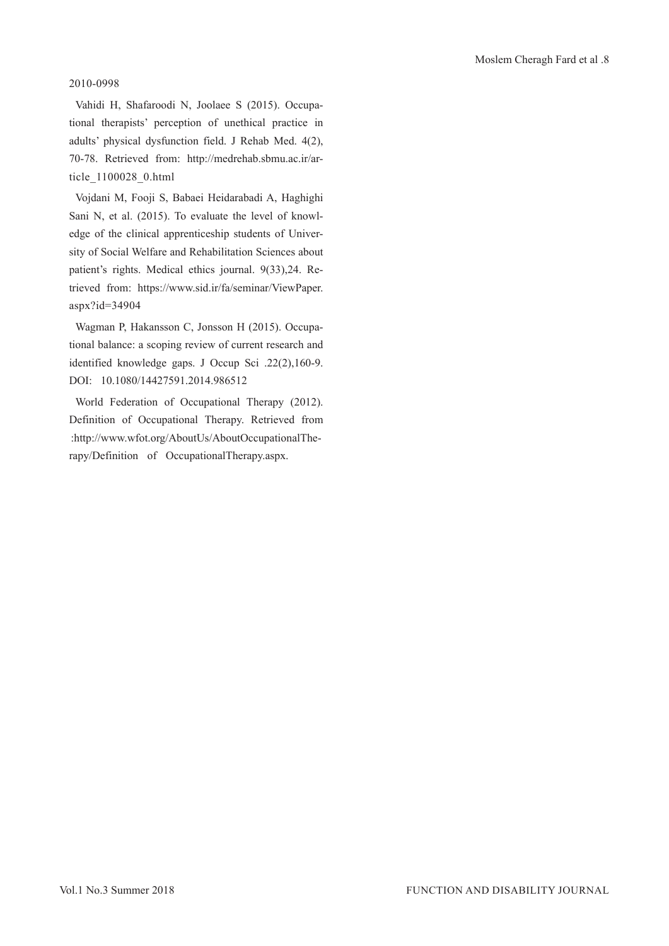#### 2010-0998

Vahidi H, Shafaroodi N, Joolaee S (2015). Occupational therapists' perception of unethical practice in adults' physical dysfunction field. J Rehab Med. 4(2), 70-78. Retrieved from: http://medrehab.sbmu.ac.ir/article\_1100028\_0.html

Vojdani M, Fooji S, Babaei Heidarabadi A, Haghighi Sani N, et al. (2015). To evaluate the level of knowledge of the clinical apprenticeship students of University of Social Welfare and Rehabilitation Sciences about patient's rights. Medical ethics journal. 9(33),24. Retrieved from: https://www.sid.ir/fa/seminar/ViewPaper. aspx?id=34904

Wagman P, Hakansson C, Jonsson H (2015). Occupational balance: a scoping review of current research and identified knowledge gaps. J Occup Sci .22(2),160-9. DOI: 10.1080/14427591.2014.986512

World Federation of Occupational Therapy (2012). Definition of Occupational Therapy. Retrieved from :http://www.wfot.org/AboutUs/AboutOccupationalTherapy/Definition of OccupationalTherapy.aspx.